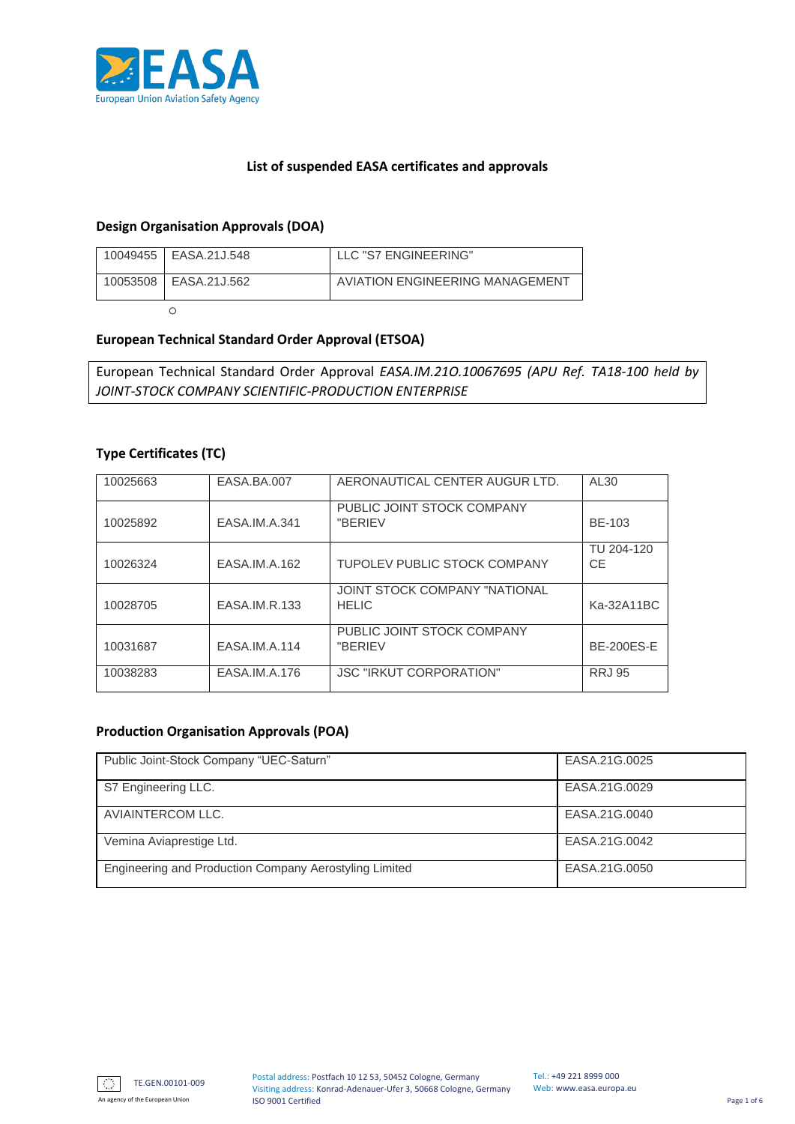

## **List of suspended EASA certificates and approvals**

## **Design Organisation Approvals (DOA)**

| 10049455   EASA.21J.548 | LLC "S7 ENGINEERING"            |
|-------------------------|---------------------------------|
| 10053508   EASA.21J.562 | AVIATION ENGINEERING MANAGEMENT |
|                         |                                 |

## **European Technical Standard Order Approval (ETSOA)**

European Technical Standard Order Approval *EASA.IM.21O.10067695 (APU Ref. TA18-100 held by JOINT-STOCK COMPANY SCIENTIFIC-PRODUCTION ENTERPRISE*

#### **Type Certificates (TC)**

| 10025663 | EASA.BA.007   | AERONAUTICAL CENTER AUGUR LTD.                | AL30                    |
|----------|---------------|-----------------------------------------------|-------------------------|
| 10025892 | EASA.IM.A.341 | PUBLIC JOINT STOCK COMPANY<br>"BERIEV         | BE-103                  |
| 10026324 | EASA.IM.A.162 | TUPOLEV PUBLIC STOCK COMPANY                  | TU 204-120<br><b>CE</b> |
| 10028705 | EASA.IM.R.133 | JOINT STOCK COMPANY "NATIONAL<br><b>HELIC</b> | Ka-32A11BC              |
| 10031687 | EASA.IM.A.114 | PUBLIC JOINT STOCK COMPANY<br>"BERIEV         | <b>BE-200ES-E</b>       |
| 10038283 | EASA.IM.A.176 | <b>JSC "IRKUT CORPORATION"</b>                | <b>RRJ 95</b>           |

#### **Production Organisation Approvals (POA)**

| Public Joint-Stock Company "UEC-Saturn"                | EASA.21G.0025 |
|--------------------------------------------------------|---------------|
| S7 Engineering LLC.                                    | EASA.21G.0029 |
| AVIAINTERCOM LLC.                                      | EASA.21G.0040 |
| Vemina Aviaprestige Ltd.                               | EASA.21G.0042 |
| Engineering and Production Company Aerostyling Limited | EASA.21G.0050 |



An agency of the European Union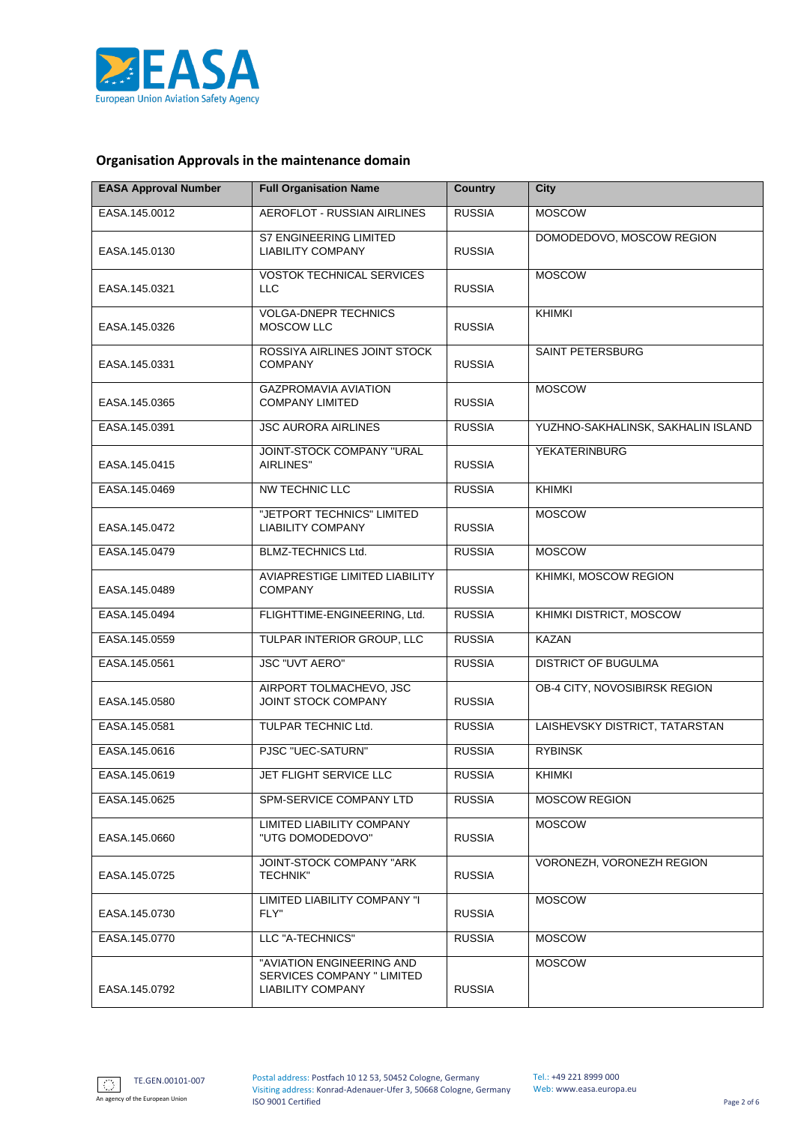

# **Organisation Approvals in the maintenance domain**

| <b>EASA Approval Number</b> | <b>Full Organisation Name</b>                                                | <b>Country</b> | <b>City</b>                        |
|-----------------------------|------------------------------------------------------------------------------|----------------|------------------------------------|
| EASA.145.0012               | AEROFLOT - RUSSIAN AIRLINES                                                  |                | <b>MOSCOW</b>                      |
| EASA.145.0130               | <b>S7 ENGINEERING LIMITED</b><br><b>LIABILITY COMPANY</b>                    | <b>RUSSIA</b>  | DOMODEDOVO, MOSCOW REGION          |
| EASA.145.0321               | <b>VOSTOK TECHNICAL SERVICES</b><br><b>LLC</b>                               | <b>RUSSIA</b>  | <b>MOSCOW</b>                      |
| EASA.145.0326               | <b>VOLGA-DNEPR TECHNICS</b><br><b>MOSCOW LLC</b>                             | <b>RUSSIA</b>  | <b>KHIMKI</b>                      |
| EASA.145.0331               | ROSSIYA AIRLINES JOINT STOCK<br><b>COMPANY</b>                               | <b>RUSSIA</b>  | SAINT PETERSBURG                   |
| EASA.145.0365               | <b>GAZPROMAVIA AVIATION</b><br><b>COMPANY LIMITED</b>                        | <b>RUSSIA</b>  | <b>MOSCOW</b>                      |
| EASA.145.0391               | <b>JSC AURORA AIRLINES</b>                                                   | <b>RUSSIA</b>  | YUZHNO-SAKHALINSK, SAKHALIN ISLAND |
| EASA.145.0415               | JOINT-STOCK COMPANY "URAL<br>AIRLINES"                                       | <b>RUSSIA</b>  | <b>YEKATERINBURG</b>               |
| EASA.145.0469               | <b>NW TECHNIC LLC</b>                                                        | <b>RUSSIA</b>  | <b>KHIMKI</b>                      |
| EASA.145.0472               | "JETPORT TECHNICS" LIMITED<br><b>LIABILITY COMPANY</b>                       | <b>RUSSIA</b>  | <b>MOSCOW</b>                      |
| EASA.145.0479               | BLMZ-TECHNICS Ltd.                                                           | <b>RUSSIA</b>  | <b>MOSCOW</b>                      |
| EASA.145.0489               | AVIAPRESTIGE LIMITED LIABILITY<br><b>COMPANY</b>                             | <b>RUSSIA</b>  | KHIMKI, MOSCOW REGION              |
| EASA.145.0494               | FLIGHTTIME-ENGINEERING, Ltd.                                                 | <b>RUSSIA</b>  | KHIMKI DISTRICT, MOSCOW            |
| EASA.145.0559               | TULPAR INTERIOR GROUP, LLC                                                   | <b>RUSSIA</b>  | <b>KAZAN</b>                       |
| EASA.145.0561               | <b>JSC "UVT AERO"</b>                                                        | <b>RUSSIA</b>  | <b>DISTRICT OF BUGULMA</b>         |
| EASA.145.0580               | AIRPORT TOLMACHEVO, JSC<br><b>JOINT STOCK COMPANY</b>                        | <b>RUSSIA</b>  | OB-4 CITY, NOVOSIBIRSK REGION      |
| EASA.145.0581               | TULPAR TECHNIC Ltd.                                                          | <b>RUSSIA</b>  | LAISHEVSKY DISTRICT, TATARSTAN     |
| EASA.145.0616               | PJSC "UEC-SATURN"                                                            | <b>RUSSIA</b>  | <b>RYBINSK</b>                     |
| EASA.145.0619               | JET FLIGHT SERVICE LLC                                                       | <b>RUSSIA</b>  | <b>KHIMKI</b>                      |
| EASA.145.0625               | SPM-SERVICE COMPANY LTD                                                      | <b>RUSSIA</b>  | <b>MOSCOW REGION</b>               |
| EASA.145.0660               | LIMITED LIABILITY COMPANY<br>"UTG DOMODEDOVO"                                | <b>RUSSIA</b>  | <b>MOSCOW</b>                      |
| EASA.145.0725               | JOINT-STOCK COMPANY "ARK<br><b>TECHNIK"</b>                                  | <b>RUSSIA</b>  | VORONEZH, VORONEZH REGION          |
| EASA.145.0730               | LIMITED LIABILITY COMPANY "I<br>FLY"                                         | <b>RUSSIA</b>  | <b>MOSCOW</b>                      |
| EASA.145.0770               | LLC "A-TECHNICS"                                                             | <b>RUSSIA</b>  | <b>MOSCOW</b>                      |
| EASA.145.0792               | "AVIATION ENGINEERING AND<br>SERVICES COMPANY " LIMITED<br>LIABILITY COMPANY | <b>RUSSIA</b>  | <b>MOSCOW</b>                      |

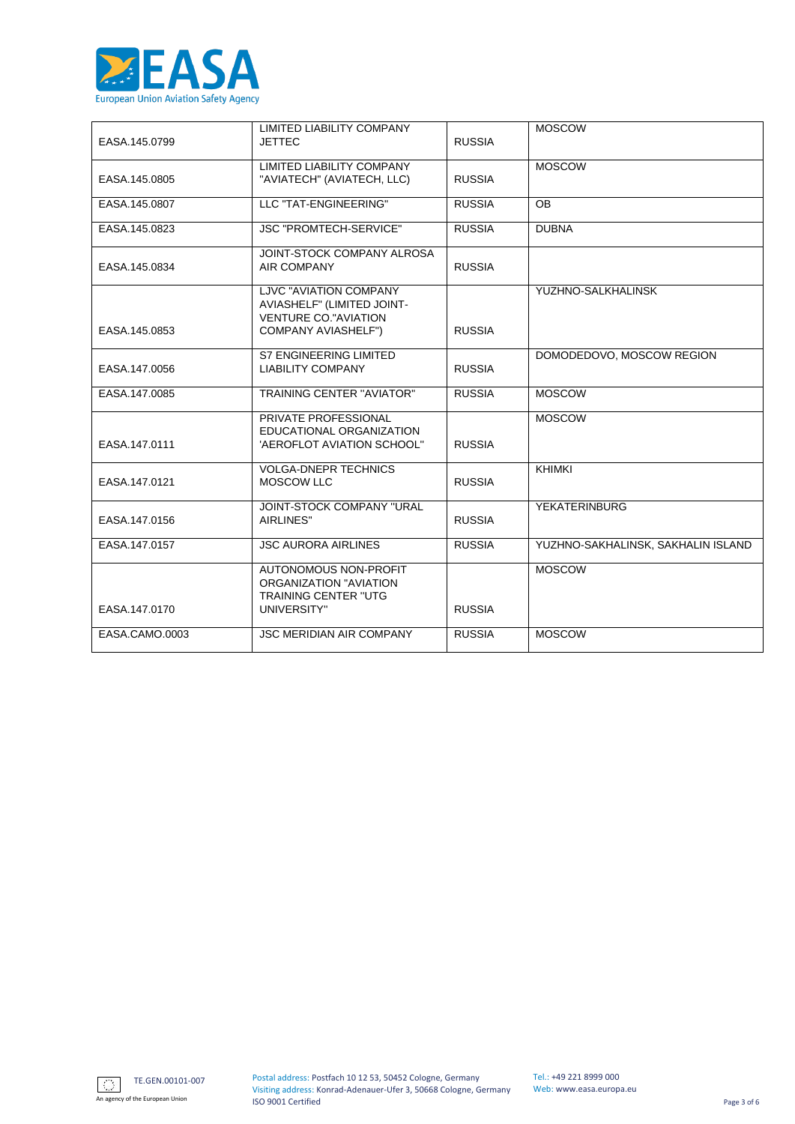

|                | LIMITED LIABILITY COMPANY                        |               | <b>MOSCOW</b>                      |
|----------------|--------------------------------------------------|---------------|------------------------------------|
| EASA.145.0799  | <b>JETTEC</b>                                    | <b>RUSSIA</b> |                                    |
|                |                                                  |               |                                    |
|                | <b>LIMITED LIABILITY COMPANY</b>                 |               | <b>MOSCOW</b>                      |
| EASA.145.0805  | "AVIATECH" (AVIATECH, LLC)                       | <b>RUSSIA</b> |                                    |
| EASA.145.0807  | LLC "TAT-ENGINEERING"                            | <b>RUSSIA</b> | <b>OB</b>                          |
|                |                                                  |               |                                    |
| EASA.145.0823  | <b>JSC "PROMTECH-SERVICE"</b>                    | <b>RUSSIA</b> | <b>DUBNA</b>                       |
|                | JOINT-STOCK COMPANY ALROSA                       |               |                                    |
| EASA.145.0834  | <b>AIR COMPANY</b>                               | <b>RUSSIA</b> |                                    |
|                |                                                  |               |                                    |
|                | LJVC "AVIATION COMPANY                           |               | YUZHNO-SALKHALINSK                 |
|                | AVIASHELF" (LIMITED JOINT-                       |               |                                    |
|                | <b>VENTURE CO."AVIATION</b>                      |               |                                    |
| EASA.145.0853  | <b>COMPANY AVIASHELF")</b>                       | <b>RUSSIA</b> |                                    |
|                | <b>S7 ENGINEERING LIMITED</b>                    |               | DOMODEDOVO, MOSCOW REGION          |
| EASA.147.0056  | <b>LIABILITY COMPANY</b>                         | <b>RUSSIA</b> |                                    |
|                |                                                  |               |                                    |
| EASA.147.0085  | <b>TRAINING CENTER "AVIATOR"</b>                 | <b>RUSSIA</b> | <b>MOSCOW</b>                      |
|                |                                                  |               |                                    |
|                | PRIVATE PROFESSIONAL<br>EDUCATIONAL ORGANIZATION |               | <b>MOSCOW</b>                      |
| EASA.147.0111  | 'AEROFLOT AVIATION SCHOOL"                       | <b>RUSSIA</b> |                                    |
|                |                                                  |               |                                    |
|                | <b>VOLGA-DNEPR TECHNICS</b>                      |               | <b>KHIMKI</b>                      |
| EASA.147.0121  | <b>MOSCOW LLC</b>                                | <b>RUSSIA</b> |                                    |
|                |                                                  |               |                                    |
|                | JOINT-STOCK COMPANY "URAL<br>AIRLINES"           | <b>RUSSIA</b> | <b>YEKATERINBURG</b>               |
| EASA.147.0156  |                                                  |               |                                    |
| EASA.147.0157  | <b>JSC AURORA AIRLINES</b>                       | <b>RUSSIA</b> | YUZHNO-SAKHALINSK, SAKHALIN ISLAND |
|                |                                                  |               |                                    |
|                | AUTONOMOUS NON-PROFIT                            |               | <b>MOSCOW</b>                      |
|                | ORGANIZATION "AVIATION                           |               |                                    |
|                | <b>TRAINING CENTER "UTG</b>                      |               |                                    |
| EASA.147.0170  | UNIVERSITY"                                      | <b>RUSSIA</b> |                                    |
| EASA.CAMO.0003 | <b>JSC MERIDIAN AIR COMPANY</b>                  | <b>RUSSIA</b> | <b>MOSCOW</b>                      |
|                |                                                  |               |                                    |

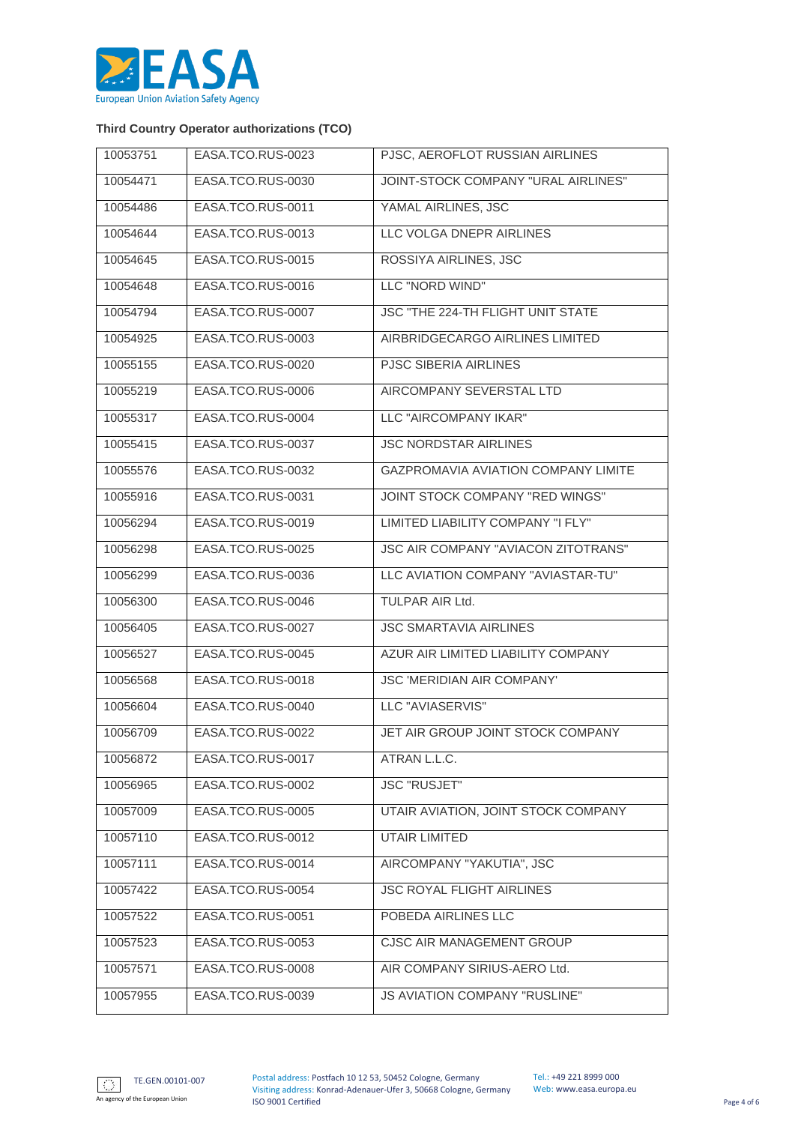

## **Third Country Operator authorizations (TCO)**

| 10053751 | EASA.TCO.RUS-0023 | PJSC, AEROFLOT RUSSIAN AIRLINES            |
|----------|-------------------|--------------------------------------------|
| 10054471 | EASA.TCO.RUS-0030 | JOINT-STOCK COMPANY "URAL AIRLINES"        |
| 10054486 | EASA.TCO.RUS-0011 | YAMAL AIRLINES, JSC                        |
| 10054644 | EASA.TCO.RUS-0013 | LLC VOLGA DNEPR AIRLINES                   |
| 10054645 | EASA.TCO.RUS-0015 | ROSSIYA AIRLINES, JSC                      |
| 10054648 | EASA.TCO.RUS-0016 | LLC "NORD WIND"                            |
| 10054794 | EASA.TCO.RUS-0007 | JSC "THE 224-TH FLIGHT UNIT STATE          |
| 10054925 | EASA.TCO.RUS-0003 | AIRBRIDGECARGO AIRLINES LIMITED            |
| 10055155 | EASA.TCO.RUS-0020 | PJSC SIBERIA AIRLINES                      |
| 10055219 | EASA.TCO.RUS-0006 | AIRCOMPANY SEVERSTAL LTD                   |
| 10055317 | EASA.TCO.RUS-0004 | LLC "AIRCOMPANY IKAR"                      |
| 10055415 | EASA.TCO.RUS-0037 | <b>JSC NORDSTAR AIRLINES</b>               |
| 10055576 | EASA.TCO.RUS-0032 | GAZPROMAVIA AVIATION COMPANY LIMITE        |
| 10055916 | EASA.TCO.RUS-0031 | JOINT STOCK COMPANY "RED WINGS"            |
| 10056294 | EASA.TCO.RUS-0019 | LIMITED LIABILITY COMPANY "I FLY"          |
| 10056298 | EASA.TCO.RUS-0025 | <b>JSC AIR COMPANY "AVIACON ZITOTRANS"</b> |
| 10056299 | EASA.TCO.RUS-0036 | LLC AVIATION COMPANY "AVIASTAR-TU"         |
| 10056300 | EASA.TCO.RUS-0046 | TULPAR AIR Ltd.                            |
| 10056405 | EASA.TCO.RUS-0027 | <b>JSC SMARTAVIA AIRLINES</b>              |
| 10056527 | EASA.TCO.RUS-0045 | AZUR AIR LIMITED LIABILITY COMPANY         |
| 10056568 | EASA.TCO.RUS-0018 | JSC 'MERIDIAN AIR COMPANY'                 |
| 10056604 | EASA.TCO.RUS-0040 | LLC "AVIASERVIS"                           |
| 10056709 | EASA.TCO.RUS-0022 | JET AIR GROUP JOINT STOCK COMPANY          |
| 10056872 | EASA.TCO.RUS-0017 | ATRAN L.L.C.                               |
| 10056965 | EASA.TCO.RUS-0002 | <b>JSC "RUSJET"</b>                        |
| 10057009 | EASA.TCO.RUS-0005 | UTAIR AVIATION, JOINT STOCK COMPANY        |
| 10057110 | EASA.TCO.RUS-0012 | <b>UTAIR LIMITED</b>                       |
| 10057111 | EASA.TCO.RUS-0014 | AIRCOMPANY "YAKUTIA", JSC                  |
| 10057422 | EASA.TCO.RUS-0054 | <b>JSC ROYAL FLIGHT AIRLINES</b>           |
| 10057522 | EASA.TCO.RUS-0051 | POBEDA AIRLINES LLC                        |
| 10057523 | EASA.TCO.RUS-0053 | CJSC AIR MANAGEMENT GROUP                  |
| 10057571 | EASA.TCO.RUS-0008 | AIR COMPANY SIRIUS-AERO Ltd.               |
| 10057955 | EASA.TCO.RUS-0039 | JS AVIATION COMPANY "RUSLINE"              |

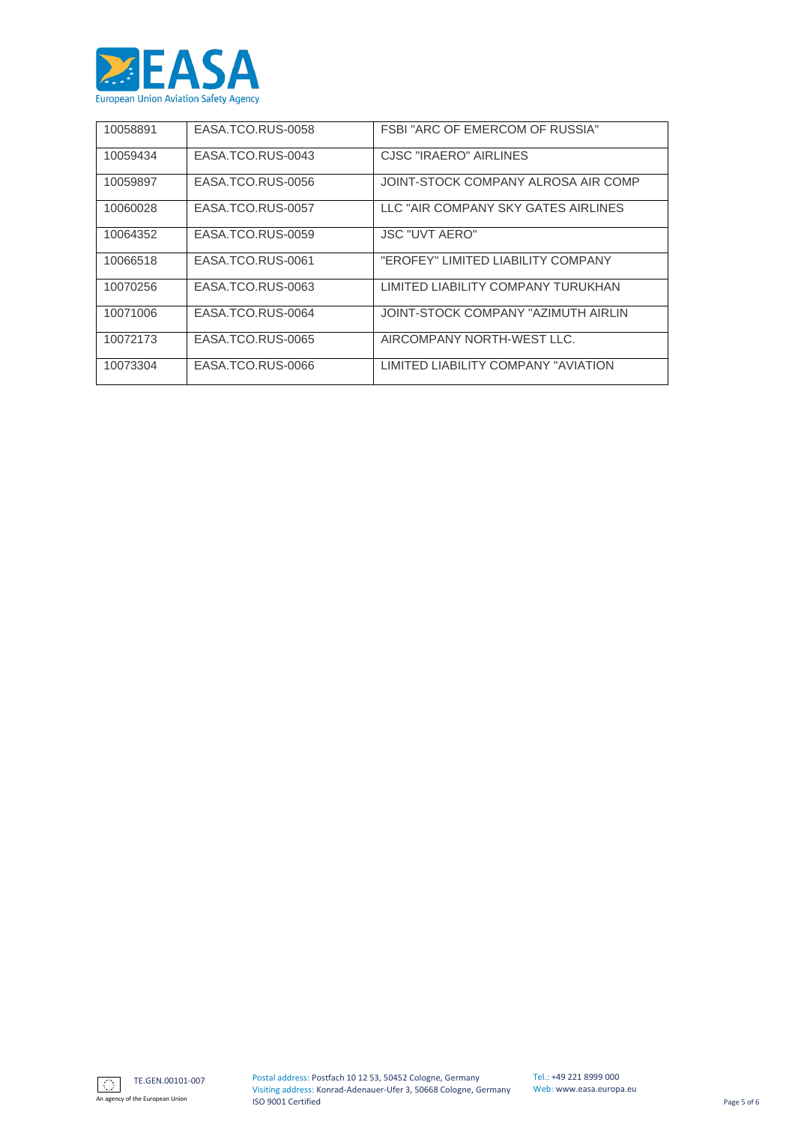

| 10058891 | EASA.TCO.RUS-0058 | <b>FSBI "ARC OF EMERCOM OF RUSSIA"</b> |
|----------|-------------------|----------------------------------------|
| 10059434 | EASA.TCO.RUS-0043 | CJSC "IRAERO" AIRLINES                 |
| 10059897 | EASA.TCO.RUS-0056 | JOINT-STOCK COMPANY ALROSA AIR COMP    |
| 10060028 | EASA.TCO.RUS-0057 | LLC "AIR COMPANY SKY GATES AIRLINES    |
| 10064352 | EASA.TCO.RUS-0059 | <b>JSC "UVT AERO"</b>                  |
| 10066518 | EASA.TCO.RUS-0061 | "EROFEY" LIMITED LIABILITY COMPANY     |
| 10070256 | EASA.TCO.RUS-0063 | LIMITED LIABILITY COMPANY TURUKHAN     |
| 10071006 | EASA.TCO.RUS-0064 | JOINT-STOCK COMPANY "AZIMUTH AIRLIN    |
| 10072173 | EASA.TCO.RUS-0065 | AIRCOMPANY NORTH-WEST LLC.             |
| 10073304 | EASA.TCO.RUS-0066 | LIMITED LIABILITY COMPANY "AVIATION    |